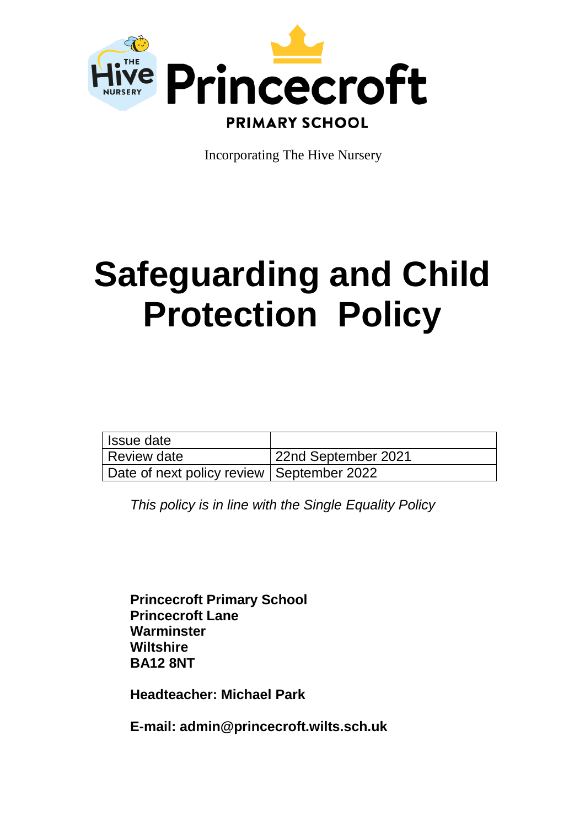

Incorporating The Hive Nursery

# **Safeguarding and Child Protection Policy**

| Issue date                                  |                     |
|---------------------------------------------|---------------------|
| Review date                                 | 22nd September 2021 |
| Date of next policy review   September 2022 |                     |

*This policy is in line with the Single Equality Policy*

**Princecroft Primary School Princecroft Lane Warminster Wiltshire BA12 8NT**

**Headteacher: Michael Park**

**E-mail: admin@princecroft.wilts.sch.uk**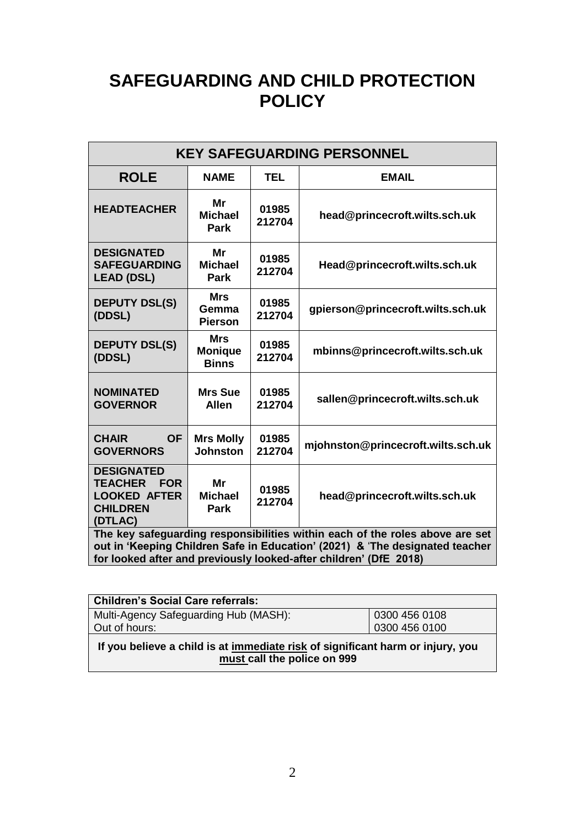# **SAFEGUARDING AND CHILD PROTECTION POLICY**

| <b>KEY SAFEGUARDING PERSONNEL</b>                                                                                                                                                                                                 |                                              |                 |                                    |  |  |
|-----------------------------------------------------------------------------------------------------------------------------------------------------------------------------------------------------------------------------------|----------------------------------------------|-----------------|------------------------------------|--|--|
| <b>ROLE</b>                                                                                                                                                                                                                       | <b>NAME</b>                                  | <b>TEL</b>      | <b>EMAIL</b>                       |  |  |
| <b>HEADTEACHER</b>                                                                                                                                                                                                                | Mr<br><b>Michael</b><br><b>Park</b>          | 01985<br>212704 | head@princecroft.wilts.sch.uk      |  |  |
| <b>DESIGNATED</b><br><b>SAFEGUARDING</b><br><b>LEAD (DSL)</b>                                                                                                                                                                     | Mr<br><b>Michael</b><br>Park                 | 01985<br>212704 | Head@princecroft.wilts.sch.uk      |  |  |
| <b>DEPUTY DSL(S)</b><br>(DDSL)                                                                                                                                                                                                    | <b>Mrs</b><br>Gemma<br><b>Pierson</b>        | 01985<br>212704 | gpierson@princecroft.wilts.sch.uk  |  |  |
| <b>DEPUTY DSL(S)</b><br>(DDSL)                                                                                                                                                                                                    | <b>Mrs</b><br><b>Monique</b><br><b>Binns</b> | 01985<br>212704 | mbinns@princecroft.wilts.sch.uk    |  |  |
| <b>NOMINATED</b><br><b>GOVERNOR</b>                                                                                                                                                                                               | <b>Mrs Sue</b><br><b>Allen</b>               | 01985<br>212704 | sallen@princecroft.wilts.sch.uk    |  |  |
| <b>CHAIR</b><br><b>OF</b><br><b>GOVERNORS</b>                                                                                                                                                                                     | <b>Mrs Molly</b><br><b>Johnston</b>          | 01985<br>212704 | mjohnston@princecroft.wilts.sch.uk |  |  |
| <b>DESIGNATED</b><br><b>TEACHER</b><br><b>FOR</b><br><b>LOOKED AFTER</b><br><b>CHILDREN</b><br>(DTLAC)                                                                                                                            | Mr<br><b>Michael</b><br>Park                 | 01985<br>212704 | head@princecroft.wilts.sch.uk      |  |  |
| The key safeguarding responsibilities within each of the roles above are set<br>out in 'Keeping Children Safe in Education' (2021) & 'The designated teacher<br>for looked after and previously looked-after children' (DfE 2018) |                                              |                 |                                    |  |  |

| <b>Children's Social Care referrals:</b>                                                                      |               |  |  |  |
|---------------------------------------------------------------------------------------------------------------|---------------|--|--|--|
| Multi-Agency Safeguarding Hub (MASH):                                                                         | 0300 456 0108 |  |  |  |
| Out of hours:                                                                                                 | 0300 456 0100 |  |  |  |
| If you believe a child is at immediate risk of significant harm or injury, you<br>must call the police on 999 |               |  |  |  |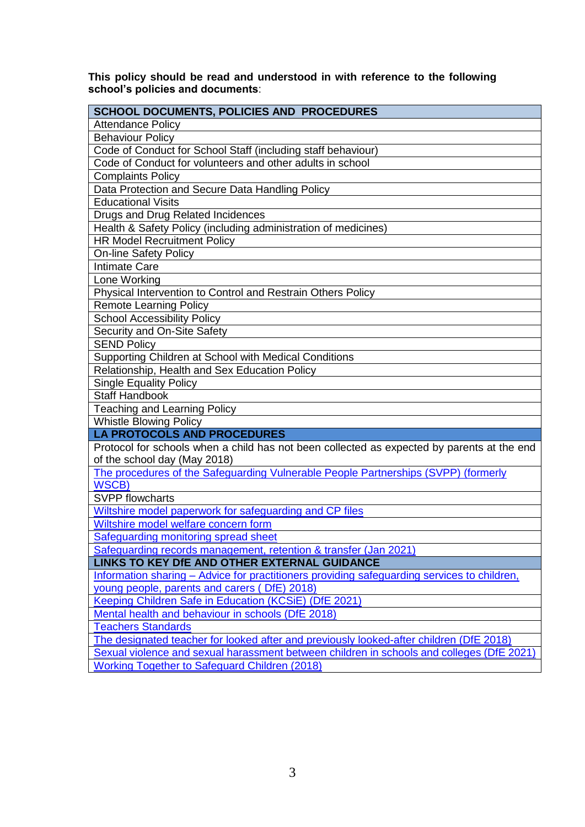**This policy should be read and understood in with reference to the following school's policies and documents**:

| <b>SCHOOL DOCUMENTS, POLICIES AND PROCEDURES</b>                                            |  |  |
|---------------------------------------------------------------------------------------------|--|--|
| <b>Attendance Policy</b>                                                                    |  |  |
| <b>Behaviour Policy</b>                                                                     |  |  |
| Code of Conduct for School Staff (including staff behaviour)                                |  |  |
| Code of Conduct for volunteers and other adults in school                                   |  |  |
| <b>Complaints Policy</b>                                                                    |  |  |
| Data Protection and Secure Data Handling Policy                                             |  |  |
| <b>Educational Visits</b>                                                                   |  |  |
| Drugs and Drug Related Incidences                                                           |  |  |
| Health & Safety Policy (including administration of medicines)                              |  |  |
| <b>HR Model Recruitment Policy</b>                                                          |  |  |
| <b>On-line Safety Policy</b>                                                                |  |  |
| <b>Intimate Care</b>                                                                        |  |  |
| Lone Working                                                                                |  |  |
| Physical Intervention to Control and Restrain Others Policy                                 |  |  |
| <b>Remote Learning Policy</b>                                                               |  |  |
| <b>School Accessibility Policy</b>                                                          |  |  |
| Security and On-Site Safety                                                                 |  |  |
| <b>SEND Policy</b>                                                                          |  |  |
| Supporting Children at School with Medical Conditions                                       |  |  |
| Relationship, Health and Sex Education Policy                                               |  |  |
| <b>Single Equality Policy</b>                                                               |  |  |
| <b>Staff Handbook</b>                                                                       |  |  |
| <b>Teaching and Learning Policy</b>                                                         |  |  |
| <b>Whistle Blowing Policy</b>                                                               |  |  |
| <b>LA PROTOCOLS AND PROCEDURES</b>                                                          |  |  |
| Protocol for schools when a child has not been collected as expected by parents at the end  |  |  |
| of the school day (May 2018)                                                                |  |  |
| The procedures of the Safeguarding Vulnerable People Partnerships (SVPP) (formerly          |  |  |
| <b>WSCB)</b>                                                                                |  |  |
| <b>SVPP flowcharts</b>                                                                      |  |  |
| Wiltshire model paperwork for safeguarding and CP files                                     |  |  |
| Wiltshire model welfare concern form                                                        |  |  |
| <b>Safequarding monitoring spread sheet</b>                                                 |  |  |
| Safeguarding records management, retention & transfer (Jan 2021)                            |  |  |
| LINKS TO KEY DIE AND OTHER EXTERNAL GUIDANCE                                                |  |  |
| Information sharing – Advice for practitioners providing safeguarding services to children, |  |  |
| young people, parents and carers (DfE) 2018)                                                |  |  |
| Keeping Children Safe in Education (KCSiE) (DfE 2021)                                       |  |  |
| Mental health and behaviour in schools (DfE 2018)                                           |  |  |
| <b>Teachers Standards</b>                                                                   |  |  |
| The designated teacher for looked after and previously looked-after children (DfE 2018)     |  |  |
| Sexual violence and sexual harassment between children in schools and colleges (DfE 2021)   |  |  |
| <b>Working Together to Safeguard Children (2018)</b>                                        |  |  |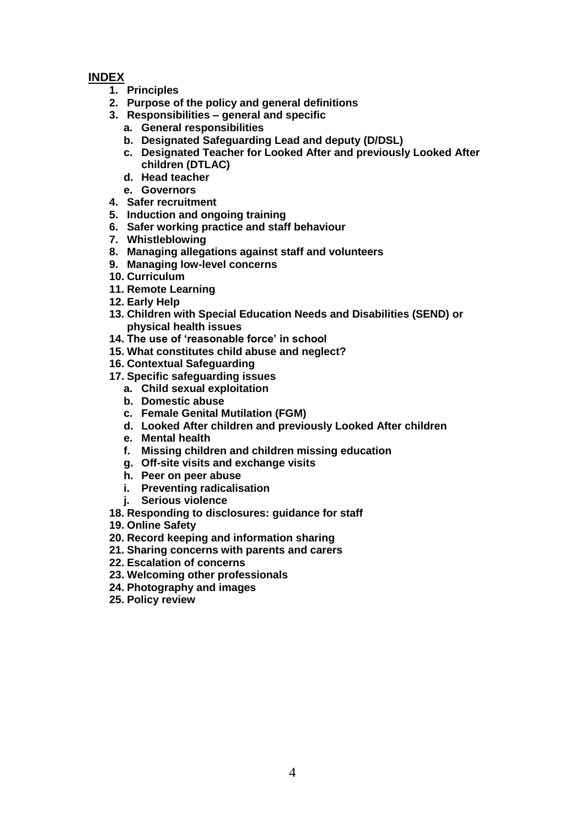# **INDEX**

- **1. Principles**
- **2. Purpose of the policy and general definitions**
- **3. Responsibilities – general and specific**
	- **a. General responsibilities**
	- **b. Designated Safeguarding Lead and deputy (D/DSL)**
	- **c. Designated Teacher for Looked After and previously Looked After children (DTLAC)**
	- **d. Head teacher**
	- **e. Governors**
- **4. Safer recruitment**
- **5. Induction and ongoing training**
- **6. Safer working practice and staff behaviour**
- **7. Whistleblowing**
- **8. Managing allegations against staff and volunteers**
- **9. Managing low-level concerns**
- **10. Curriculum**
- **11. Remote Learning**
- **12. Early Help**
- **13. Children with Special Education Needs and Disabilities (SEND) or physical health issues**
- **14. The use of 'reasonable force' in school**
- **15. What constitutes child abuse and neglect?**
- **16. Contextual Safeguarding**
- **17. Specific safeguarding issues**
	- **a. Child sexual exploitation**
	- **b. Domestic abuse**
	- **c. Female Genital Mutilation (FGM)**
	- **d. Looked After children and previously Looked After children**
	- **e. Mental health**
	- **f. Missing children and children missing education**
	- **g. Off-site visits and exchange visits**
	- **h. Peer on peer abuse**
	- **i. Preventing radicalisation**
	- **j. Serious violence**
- **18. Responding to disclosures: guidance for staff**
- **19. Online Safety**
- **20. Record keeping and information sharing**
- **21. Sharing concerns with parents and carers**
- **22. Escalation of concerns**
- **23. Welcoming other professionals**
- **24. Photography and images**
- **25. Policy review**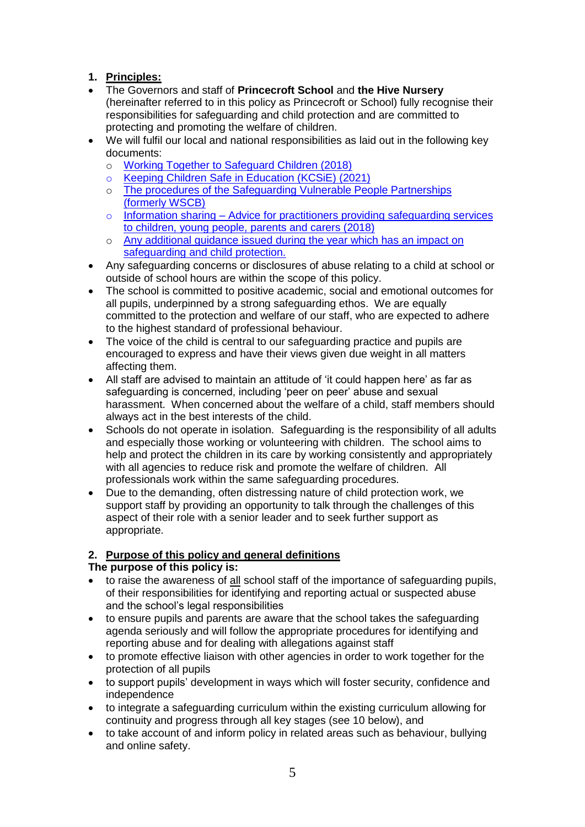# **1. Principles:**

- The Governors and staff of **Princecroft School** and **the Hive Nursery** (hereinafter referred to in this policy as Princecroft or School) fully recognise their responsibilities for safeguarding and child protection and are committed to protecting and promoting the welfare of children.
- We will fulfil our local and national responsibilities as laid out in the following key documents:
	- o [Working Together to Safeguard Children \(2018\)](https://assets.publishing.service.gov.uk/government/uploads/system/uploads/attachment_data/file/779401/Working_Together_to_Safeguard-Children.pdf)
	- o [Keeping Children Safe in Education \(KCSiE\) \(2021\)](https://www.gov.uk/government/publications/keeping-children-safe-in-education--2)
	- o [The procedures of the Safeguarding Vulnerable People Partnerships](https://www.wiltshirescb.org.uk/professionals/local-policies-and-guidance/)  [\(formerly WSCB\)](https://www.wiltshirescb.org.uk/professionals/local-policies-and-guidance/)
	- $\circ$  Information sharing Advice for practitioners providing safeguarding services [to children, young people, parents and carers \(2018\)](https://assets.publishing.service.gov.uk/government/uploads/system/uploads/attachment_data/file/721581/Information_sharing_advice_practitioners_safeguarding_services.pdf)
	- o Any additional guidance issued during the year which has an impact on safeguarding and child protection.
- Any safeguarding concerns or disclosures of abuse relating to a child at school or outside of school hours are within the scope of this policy.
- The school is committed to positive academic, social and emotional outcomes for all pupils, underpinned by a strong safeguarding ethos. We are equally committed to the protection and welfare of our staff, who are expected to adhere to the highest standard of professional behaviour.
- The voice of the child is central to our safeguarding practice and pupils are encouraged to express and have their views given due weight in all matters affecting them.
- All staff are advised to maintain an attitude of 'it could happen here' as far as safeguarding is concerned, including 'peer on peer' abuse and sexual harassment. When concerned about the welfare of a child, staff members should always act in the best interests of the child.
- Schools do not operate in isolation. Safeguarding is the responsibility of all adults and especially those working or volunteering with children. The school aims to help and protect the children in its care by working consistently and appropriately with all agencies to reduce risk and promote the welfare of children. All professionals work within the same safeguarding procedures.
- Due to the demanding, often distressing nature of child protection work, we support staff by providing an opportunity to talk through the challenges of this aspect of their role with a senior leader and to seek further support as appropriate.

# **2. Purpose of this policy and general definitions**

# **The purpose of this policy is:**

- to raise the awareness of all school staff of the importance of safeguarding pupils, of their responsibilities for identifying and reporting actual or suspected abuse and the school's legal responsibilities
- to ensure pupils and parents are aware that the school takes the safeguarding agenda seriously and will follow the appropriate procedures for identifying and reporting abuse and for dealing with allegations against staff
- to promote effective liaison with other agencies in order to work together for the protection of all pupils
- to support pupils' development in ways which will foster security, confidence and independence
- to integrate a safeguarding curriculum within the existing curriculum allowing for continuity and progress through all key stages (see 10 below), and
- to take account of and inform policy in related areas such as behaviour, bullying and online safety.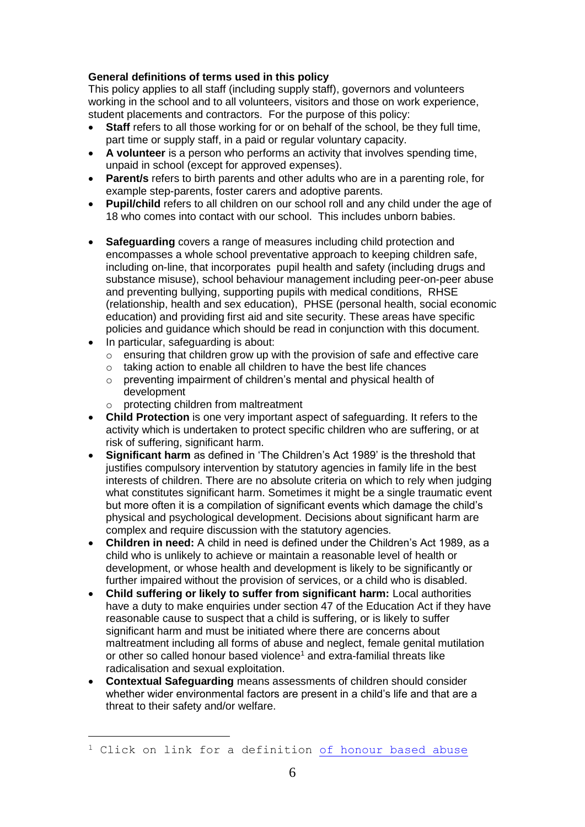# **General definitions of terms used in this policy**

This policy applies to all staff (including supply staff), governors and volunteers working in the school and to all volunteers, visitors and those on work experience, student placements and contractors. For the purpose of this policy:

- **Staff** refers to all those working for or on behalf of the school, be they full time, part time or supply staff, in a paid or regular voluntary capacity.
- **A volunteer** is a person who performs an activity that involves spending time, unpaid in school (except for approved expenses).
- **Parent/s** refers to birth parents and other adults who are in a parenting role, for example step-parents, foster carers and adoptive parents.
- **Pupil/child** refers to all children on our school roll and any child under the age of 18 who comes into contact with our school. This includes unborn babies.
- **Safeguarding** covers a range of measures including child protection and encompasses a whole school preventative approach to keeping children safe, including on-line, that incorporates pupil health and safety (including drugs and substance misuse), school behaviour management including peer-on-peer abuse and preventing bullying, supporting pupils with medical conditions, RHSE (relationship, health and sex education), PHSE (personal health, social economic education) and providing first aid and site security. These areas have specific policies and guidance which should be read in conjunction with this document.
- In particular, safeguarding is about:

l

- o ensuring that children grow up with the provision of safe and effective care
- o taking action to enable all children to have the best life chances
- o preventing impairment of children's mental and physical health of development
- o protecting children from maltreatment
- **Child Protection** is one very important aspect of safeguarding. It refers to the activity which is undertaken to protect specific children who are suffering, or at risk of suffering, significant harm.
- **Significant harm** as defined in 'The Children's Act 1989' is the threshold that justifies compulsory intervention by statutory agencies in family life in the best interests of children. There are no absolute criteria on which to rely when judging what constitutes significant harm. Sometimes it might be a single traumatic event but more often it is a compilation of significant events which damage the child's physical and psychological development. Decisions about significant harm are complex and require discussion with the statutory agencies.
- **Children in need:** A child in need is defined under the Children's Act 1989, as a child who is unlikely to achieve or maintain a reasonable level of health or development, or whose health and development is likely to be significantly or further impaired without the provision of services, or a child who is disabled.
- **Child suffering or likely to suffer from significant harm:** Local authorities have a duty to make enquiries under section 47 of the Education Act if they have reasonable cause to suspect that a child is suffering, or is likely to suffer significant harm and must be initiated where there are concerns about maltreatment including all forms of abuse and neglect, female genital mutilation or other so called honour based violence<sup>1</sup> and extra-familial threats like radicalisation and sexual exploitation.
- **Contextual Safeguarding** means assessments of children should consider whether wider environmental factors are present in a child's life and that are a threat to their safety and/or welfare.

<sup>&</sup>lt;sup>1</sup> Click on link for a definition [of honour based abuse](https://www.reducingtherisk.org.uk/cms/content/so-called-honour-based-abuse)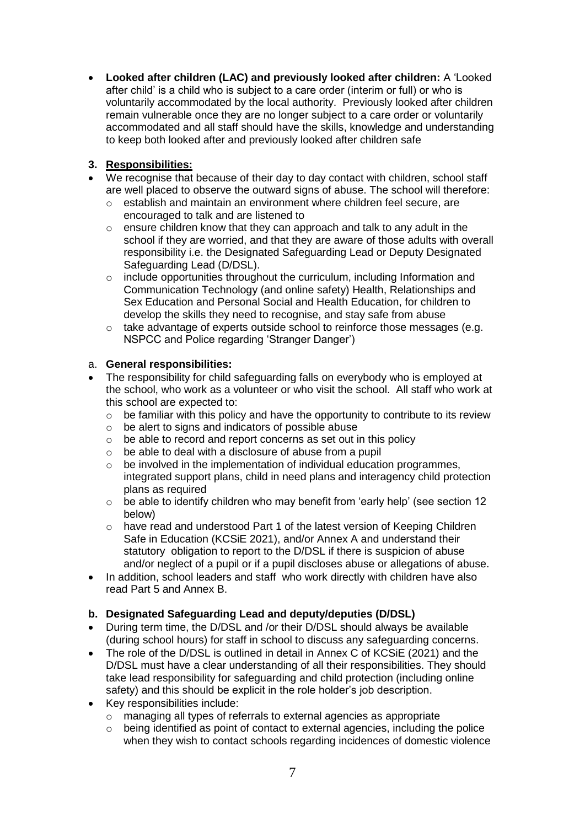**Looked after children (LAC) and previously looked after children:** A 'Looked after child' is a child who is subject to a care order (interim or full) or who is voluntarily accommodated by the local authority. Previously looked after children remain vulnerable once they are no longer subject to a care order or voluntarily accommodated and all staff should have the skills, knowledge and understanding to keep both looked after and previously looked after children safe

# **3. Responsibilities:**

- We recognise that because of their day to day contact with children, school staff are well placed to observe the outward signs of abuse. The school will therefore:
	- o establish and maintain an environment where children feel secure, are encouraged to talk and are listened to
	- o ensure children know that they can approach and talk to any adult in the school if they are worried, and that they are aware of those adults with overall responsibility i.e. the Designated Safeguarding Lead or Deputy Designated Safeguarding Lead (D/DSL).
	- $\circ$  include opportunities throughout the curriculum, including Information and Communication Technology (and online safety) Health, Relationships and Sex Education and Personal Social and Health Education, for children to develop the skills they need to recognise, and stay safe from abuse
	- $\circ$  take advantage of experts outside school to reinforce those messages (e.g. NSPCC and Police regarding 'Stranger Danger')

#### a. **General responsibilities:**

- The responsibility for child safeguarding falls on everybody who is employed at the school, who work as a volunteer or who visit the school. All staff who work at this school are expected to:
	- $\circ$  be familiar with this policy and have the opportunity to contribute to its review
	- $\circ$  be alert to signs and indicators of possible abuse
	- o be able to record and report concerns as set out in this policy
	- $\circ$  be able to deal with a disclosure of abuse from a pupil
	- $\circ$  be involved in the implementation of individual education programmes, integrated support plans, child in need plans and interagency child protection plans as required
	- $\circ$  be able to identify children who may benefit from 'early help' (see section 12) below)
	- o have read and understood Part 1 of the latest version of Keeping Children Safe in Education (KCSiE 2021), and/or Annex A and understand their statutory obligation to report to the D/DSL if there is suspicion of abuse and/or neglect of a pupil or if a pupil discloses abuse or allegations of abuse.
- In addition, school leaders and staff who work directly with children have also read Part 5 and Annex B.

#### **b. Designated Safeguarding Lead and deputy/deputies (D/DSL)**

- During term time, the D/DSL and /or their D/DSL should always be available (during school hours) for staff in school to discuss any safeguarding concerns.
- The role of the D/DSL is outlined in detail in Annex C of KCSiE (2021) and the D/DSL must have a clear understanding of all their responsibilities. They should take lead responsibility for safeguarding and child protection (including online safety) and this should be explicit in the role holder's job description.
- Key responsibilities include:
	- o managing all types of referrals to external agencies as appropriate
	- $\circ$  being identified as point of contact to external agencies, including the police when they wish to contact schools regarding incidences of domestic violence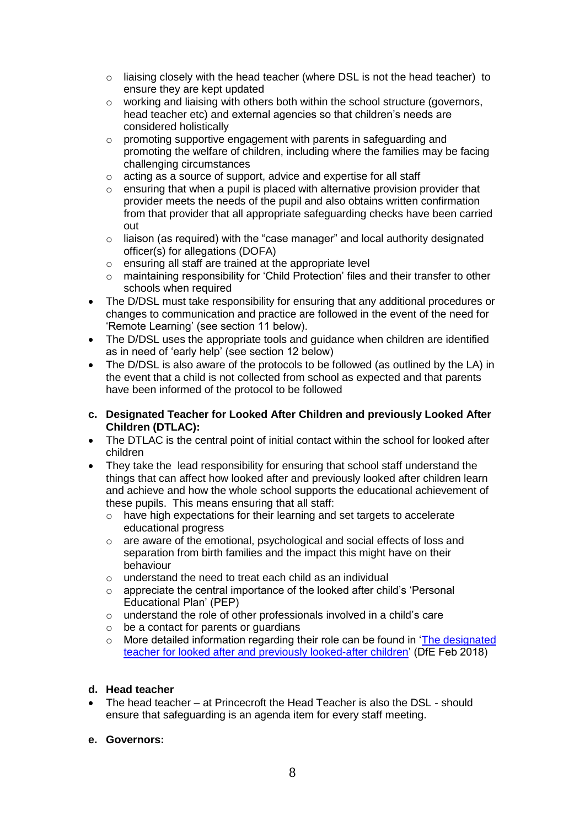- $\circ$  liaising closely with the head teacher (where DSL is not the head teacher) to ensure they are kept updated
- $\circ$  working and liaising with others both within the school structure (governors, head teacher etc) and external agencies so that children's needs are considered holistically
- o promoting supportive engagement with parents in safeguarding and promoting the welfare of children, including where the families may be facing challenging circumstances
- o acting as a source of support, advice and expertise for all staff
- o ensuring that when a pupil is placed with alternative provision provider that provider meets the needs of the pupil and also obtains written confirmation from that provider that all appropriate safeguarding checks have been carried out
- o liaison (as required) with the "case manager" and local authority designated officer(s) for allegations (DOFA)
- o ensuring all staff are trained at the appropriate level
- o maintaining responsibility for 'Child Protection' files and their transfer to other schools when required
- The D/DSL must take responsibility for ensuring that any additional procedures or changes to communication and practice are followed in the event of the need for 'Remote Learning' (see section 11 below).
- The D/DSL uses the appropriate tools and guidance when children are identified as in need of 'early help' (see section 12 below)
- The D/DSL is also aware of the protocols to be followed (as outlined by the LA) in the event that a child is not collected from school as expected and that parents have been informed of the protocol to be followed

#### **c. Designated Teacher for Looked After Children and previously Looked After Children (DTLAC):**

- The DTLAC is the central point of initial contact within the school for looked after children
- They take the lead responsibility for ensuring that school staff understand the things that can affect how looked after and previously looked after children learn and achieve and how the whole school supports the educational achievement of these pupils. This means ensuring that all staff:
	- o have high expectations for their learning and set targets to accelerate educational progress
	- $\circ$  are aware of the emotional, psychological and social effects of loss and separation from birth families and the impact this might have on their behaviour
	- o understand the need to treat each child as an individual
	- $\circ$  appreciate the central importance of the looked after child's 'Personal Educational Plan' (PEP)
	- o understand the role of other professionals involved in a child's care
	- $\circ$  be a contact for parents or quardians
	- $\circ$  More detailed information regarding their role can be found in 'The designated [teacher for looked after and previously looked-after children'](https://assets.publishing.service.gov.uk/government/uploads/system/uploads/attachment_data/file/683561/The_designated_teacher_for_looked-after_and_previously_looked-after_children.pdf) (DfE Feb 2018)

#### **d. Head teacher**

 The head teacher – at Princecroft the Head Teacher is also the DSL - should ensure that safeguarding is an agenda item for every staff meeting.

#### **e. Governors:**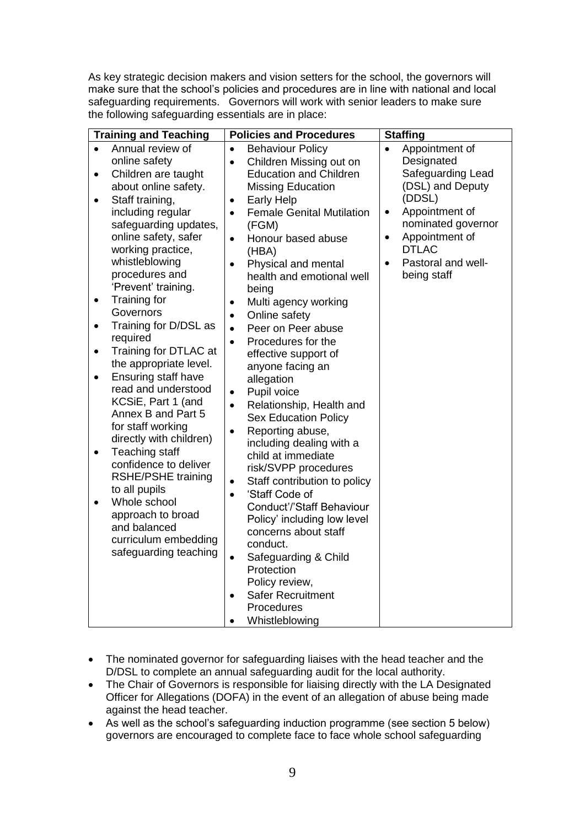As key strategic decision makers and vision setters for the school, the governors will make sure that the school's policies and procedures are in line with national and local safeguarding requirements. Governors will work with senior leaders to make sure the following safeguarding essentials are in place:

| Annual review of<br>$\bullet$<br>$\bullet$                                                                                                                                                                                                                                                                                                                                                                                                                                                                                                                                                                                                                                                                                                                                                                                                                                                                                                                                                                                 | <b>Behaviour Policy</b>                                                                                                                                                                                                                                                                                                                                                                                                                                                                                                                                                                                                                                                                                                                                                                                                                         |                                                                                                                                                                                                                                       |
|----------------------------------------------------------------------------------------------------------------------------------------------------------------------------------------------------------------------------------------------------------------------------------------------------------------------------------------------------------------------------------------------------------------------------------------------------------------------------------------------------------------------------------------------------------------------------------------------------------------------------------------------------------------------------------------------------------------------------------------------------------------------------------------------------------------------------------------------------------------------------------------------------------------------------------------------------------------------------------------------------------------------------|-------------------------------------------------------------------------------------------------------------------------------------------------------------------------------------------------------------------------------------------------------------------------------------------------------------------------------------------------------------------------------------------------------------------------------------------------------------------------------------------------------------------------------------------------------------------------------------------------------------------------------------------------------------------------------------------------------------------------------------------------------------------------------------------------------------------------------------------------|---------------------------------------------------------------------------------------------------------------------------------------------------------------------------------------------------------------------------------------|
| online safety<br>$\bullet$<br>Children are taught<br>$\bullet$<br>about online safety.<br>Staff training,<br>$\bullet$<br>$\bullet$<br>including regular<br>$\bullet$<br>safeguarding updates,<br>online safety, safer<br>$\bullet$<br>working practice,<br>whistleblowing<br>$\bullet$<br>procedures and<br>'Prevent' training.<br>Training for<br>٠<br>$\bullet$<br>Governors<br>$\bullet$<br>Training for D/DSL as<br>$\bullet$<br>$\bullet$<br>required<br>$\bullet$<br>Training for DTLAC at<br>$\bullet$<br>the appropriate level.<br><b>Ensuring staff have</b><br>$\bullet$<br>read and understood<br>$\bullet$<br>KCSiE, Part 1 (and<br>$\bullet$<br>Annex B and Part 5<br>for staff working<br>$\bullet$<br>directly with children)<br>Teaching staff<br>$\bullet$<br>confidence to deliver<br><b>RSHE/PSHE training</b><br>$\bullet$<br>to all pupils<br>$\bullet$<br>Whole school<br>$\bullet$<br>approach to broad<br>and balanced<br>curriculum embedding<br>safeguarding teaching<br>$\bullet$<br>$\bullet$ | Children Missing out on<br><b>Education and Children</b><br><b>Missing Education</b><br><b>Early Help</b><br><b>Female Genital Mutilation</b><br>(FGM)<br>Honour based abuse<br>(HBA)<br>Physical and mental<br>health and emotional well<br>being<br>Multi agency working<br>Online safety<br>Peer on Peer abuse<br>Procedures for the<br>effective support of<br>anyone facing an<br>allegation<br>Pupil voice<br>Relationship, Health and<br><b>Sex Education Policy</b><br>Reporting abuse,<br>including dealing with a<br>child at immediate<br>risk/SVPP procedures<br>Staff contribution to policy<br>'Staff Code of<br>Conduct'/'Staff Behaviour<br>Policy' including low level<br>concerns about staff<br>conduct.<br>Safeguarding & Child<br>Protection<br>Policy review,<br><b>Safer Recruitment</b><br>Procedures<br>Whistleblowing | Appointment of<br>Designated<br>Safeguarding Lead<br>(DSL) and Deputy<br>(DDSL)<br>Appointment of<br>$\bullet$<br>nominated governor<br>Appointment of<br>$\bullet$<br><b>DTLAC</b><br>Pastoral and well-<br>$\bullet$<br>being staff |

- The nominated governor for safeguarding liaises with the head teacher and the D/DSL to complete an annual safeguarding audit for the local authority.
- The Chair of Governors is responsible for liaising directly with the LA Designated Officer for Allegations (DOFA) in the event of an allegation of abuse being made against the head teacher.
- As well as the school's safeguarding induction programme (see section 5 below) governors are encouraged to complete face to face whole school safeguarding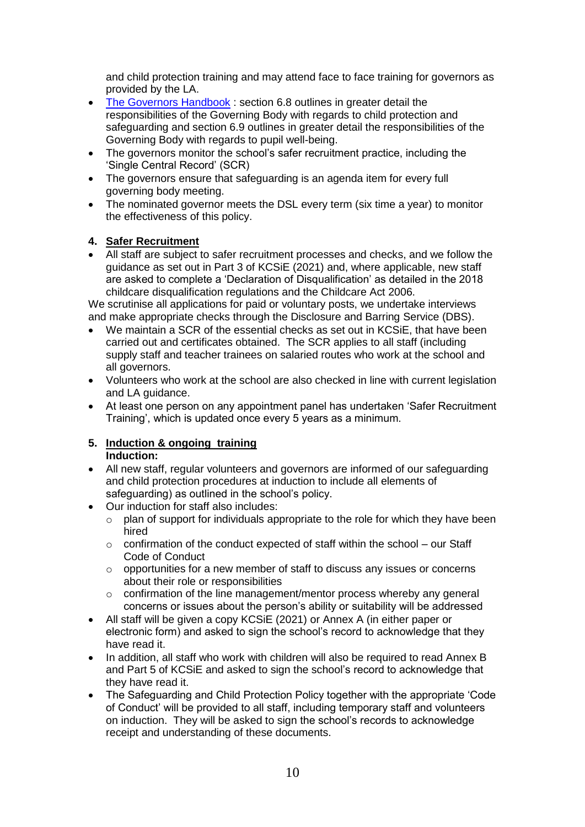and child protection training and may attend face to face training for governors as provided by the LA.

- [The Governors Handbook](https://assets.publishing.service.gov.uk/government/uploads/system/uploads/attachment_data/file/788234/governance_handbook_2019.pdf): section 6.8 outlines in greater detail the responsibilities of the Governing Body with regards to child protection and safeguarding and section 6.9 outlines in greater detail the responsibilities of the Governing Body with regards to pupil well-being.
- The governors monitor the school's safer recruitment practice, including the 'Single Central Record' (SCR)
- The governors ensure that safeguarding is an agenda item for every full governing body meeting.
- The nominated governor meets the DSL every term (six time a year) to monitor the effectiveness of this policy.

#### **4. Safer Recruitment**

 All staff are subject to safer recruitment processes and checks, and we follow the guidance as set out in Part 3 of KCSiE (2021) and, where applicable, new staff are asked to complete a 'Declaration of Disqualification' as detailed in the 2018 childcare disqualification regulations and the Childcare Act 2006.

We scrutinise all applications for paid or voluntary posts, we undertake interviews and make appropriate checks through the Disclosure and Barring Service (DBS).

- We maintain a SCR of the essential checks as set out in KCSiE, that have been carried out and certificates obtained. The SCR applies to all staff (including supply staff and teacher trainees on salaried routes who work at the school and all governors.
- Volunteers who work at the school are also checked in line with current legislation and LA guidance.
- At least one person on any appointment panel has undertaken 'Safer Recruitment Training', which is updated once every 5 years as a minimum.

#### **5. Induction & ongoing training Induction:**

- All new staff, regular volunteers and governors are informed of our safeguarding and child protection procedures at induction to include all elements of safeguarding) as outlined in the school's policy.
- Our induction for staff also includes:
	- $\circ$  plan of support for individuals appropriate to the role for which they have been hired
	- o confirmation of the conduct expected of staff within the school our Staff Code of Conduct
	- $\circ$  opportunities for a new member of staff to discuss any issues or concerns about their role or responsibilities
	- o confirmation of the line management/mentor process whereby any general concerns or issues about the person's ability or suitability will be addressed
- All staff will be given a copy KCSiE (2021) or Annex A (in either paper or electronic form) and asked to sign the school's record to acknowledge that they have read it.
- In addition, all staff who work with children will also be required to read Annex B and Part 5 of KCSiE and asked to sign the school's record to acknowledge that they have read it.
- The Safeguarding and Child Protection Policy together with the appropriate 'Code of Conduct' will be provided to all staff, including temporary staff and volunteers on induction. They will be asked to sign the school's records to acknowledge receipt and understanding of these documents.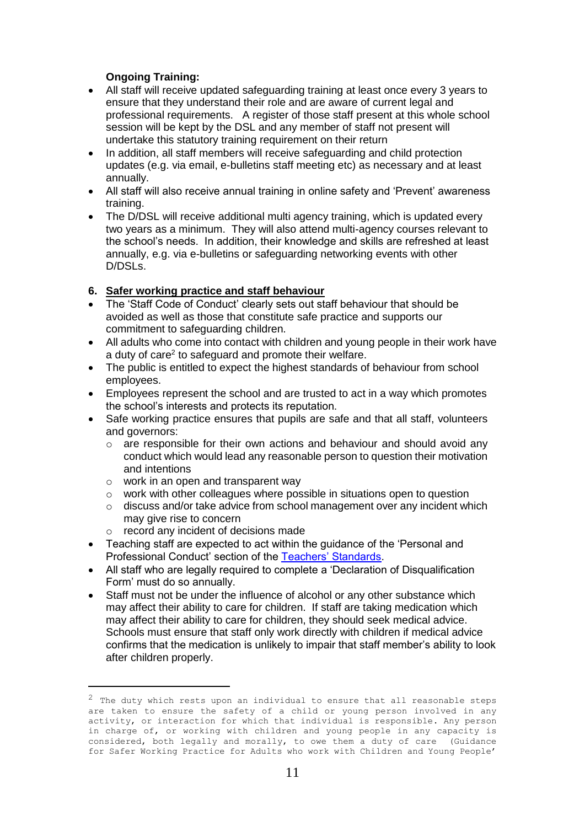## **Ongoing Training:**

- All staff will receive updated safeguarding training at least once every 3 years to ensure that they understand their role and are aware of current legal and professional requirements. A register of those staff present at this whole school session will be kept by the DSL and any member of staff not present will undertake this statutory training requirement on their return
- In addition, all staff members will receive safeguarding and child protection updates (e.g. via email, e-bulletins staff meeting etc) as necessary and at least annually.
- All staff will also receive annual training in online safety and 'Prevent' awareness training.
- The D/DSL will receive additional multi agency training, which is updated every two years as a minimum. They will also attend multi-agency courses relevant to the school's needs. In addition, their knowledge and skills are refreshed at least annually, e.g. via e-bulletins or safeguarding networking events with other D/DSLs.

#### **6. Safer working practice and staff behaviour**

- The 'Staff Code of Conduct' clearly sets out staff behaviour that should be avoided as well as those that constitute safe practice and supports our commitment to safeguarding children.
- All adults who come into contact with children and young people in their work have a duty of care<sup>2</sup> to safeguard and promote their welfare.
- The public is entitled to expect the highest standards of behaviour from school employees.
- Employees represent the school and are trusted to act in a way which promotes the school's interests and protects its reputation.
- Safe working practice ensures that pupils are safe and that all staff, volunteers and governors:
	- $\circ$  are responsible for their own actions and behaviour and should avoid any conduct which would lead any reasonable person to question their motivation and intentions
	- o work in an open and transparent way
	- o work with other colleagues where possible in situations open to question
	- $\circ$  discuss and/or take advice from school management over any incident which may give rise to concern
	- o record any incident of decisions made

l

- Teaching staff are expected to act within the guidance of the 'Personal and Professional Conduct' section of the [Teachers' Standards.](https://assets.publishing.service.gov.uk/government/uploads/system/uploads/attachment_data/file/665520/Teachers__Standards.pdf)
- All staff who are legally required to complete a 'Declaration of Disqualification Form' must do so annually.
- Staff must not be under the influence of alcohol or any other substance which may affect their ability to care for children. If staff are taking medication which may affect their ability to care for children, they should seek medical advice. Schools must ensure that staff only work directly with children if medical advice confirms that the medication is unlikely to impair that staff member's ability to look after children properly.

 $2$  The duty which rests upon an individual to ensure that all reasonable steps are taken to ensure the safety of a child or young person involved in any activity, or interaction for which that individual is responsible. Any person in charge of, or working with children and young people in any capacity is considered, both legally and morally, to owe them a duty of care (Guidance for Safer Working Practice for Adults who work with Children and Young People'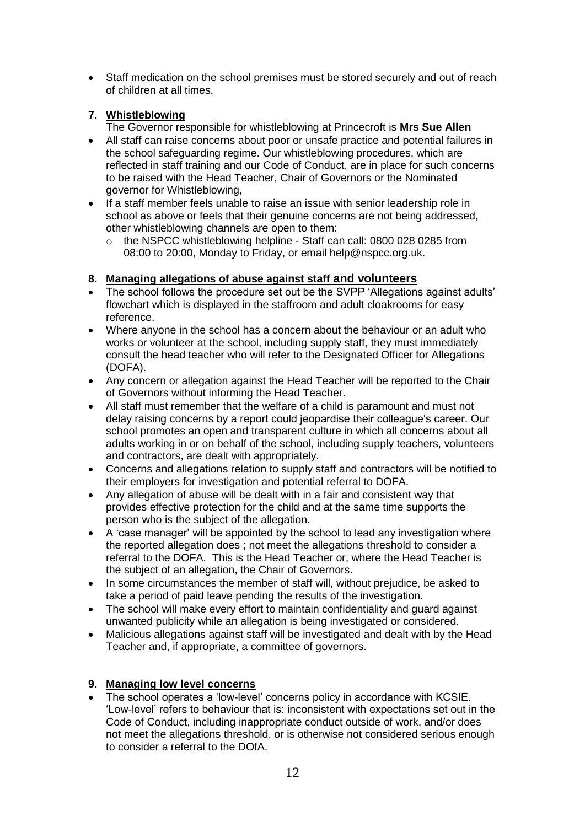Staff medication on the school premises must be stored securely and out of reach of children at all times.

## **7. Whistleblowing**

The Governor responsible for whistleblowing at Princecroft is **Mrs Sue Allen**

- All staff can raise concerns about poor or unsafe practice and potential failures in the school safeguarding regime. Our whistleblowing procedures, which are reflected in staff training and our Code of Conduct, are in place for such concerns to be raised with the Head Teacher, Chair of Governors or the Nominated governor for Whistleblowing,
- If a staff member feels unable to raise an issue with senior leadership role in school as above or feels that their genuine concerns are not being addressed, other whistleblowing channels are open to them:
	- o the NSPCC whistleblowing helpline Staff can call: 0800 028 0285 from 08:00 to 20:00, Monday to Friday, or email help@nspcc.org.uk.

# **8. Managing allegations of abuse against staff and volunteers**

- The school follows the procedure set out be the SVPP 'Allegations against adults' flowchart which is displayed in the staffroom and adult cloakrooms for easy reference.
- Where anyone in the school has a concern about the behaviour or an adult who works or volunteer at the school, including supply staff, they must immediately consult the head teacher who will refer to the Designated Officer for Allegations (DOFA).
- Any concern or allegation against the Head Teacher will be reported to the Chair of Governors without informing the Head Teacher.
- All staff must remember that the welfare of a child is paramount and must not delay raising concerns by a report could jeopardise their colleague's career. Our school promotes an open and transparent culture in which all concerns about all adults working in or on behalf of the school, including supply teachers, volunteers and contractors, are dealt with appropriately.
- Concerns and allegations relation to supply staff and contractors will be notified to their employers for investigation and potential referral to DOFA.
- Any allegation of abuse will be dealt with in a fair and consistent way that provides effective protection for the child and at the same time supports the person who is the subject of the allegation.
- A 'case manager' will be appointed by the school to lead any investigation where the reported allegation does ; not meet the allegations threshold to consider a referral to the DOFA. This is the Head Teacher or, where the Head Teacher is the subject of an allegation, the Chair of Governors.
- In some circumstances the member of staff will, without prejudice, be asked to take a period of paid leave pending the results of the investigation.
- The school will make every effort to maintain confidentiality and guard against unwanted publicity while an allegation is being investigated or considered.
- Malicious allegations against staff will be investigated and dealt with by the Head Teacher and, if appropriate, a committee of governors.

#### **9. Managing low level concerns**

 The school operates a 'low-level' concerns policy in accordance with KCSIE. 'Low-level' refers to behaviour that is: inconsistent with expectations set out in the Code of Conduct, including inappropriate conduct outside of work, and/or does not meet the allegations threshold, or is otherwise not considered serious enough to consider a referral to the DOfA.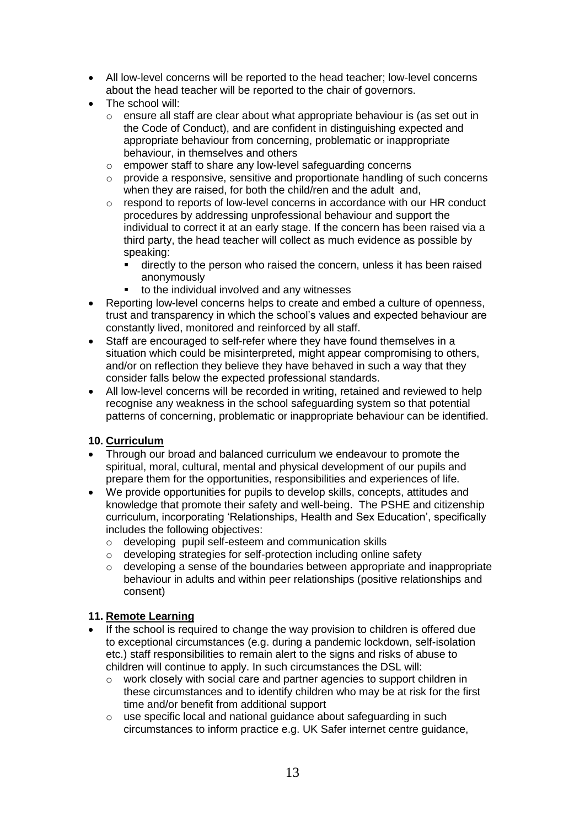- All low-level concerns will be reported to the head teacher; low-level concerns about the head teacher will be reported to the chair of governors.
- The school will:
	- $\circ$  ensure all staff are clear about what appropriate behaviour is (as set out in the Code of Conduct), and are confident in distinguishing expected and appropriate behaviour from concerning, problematic or inappropriate behaviour, in themselves and others
	- o empower staff to share any low-level safeguarding concerns
	- o provide a responsive, sensitive and proportionate handling of such concerns when they are raised, for both the child/ren and the adult and,
	- $\circ$  respond to reports of low-level concerns in accordance with our HR conduct procedures by addressing unprofessional behaviour and support the individual to correct it at an early stage. If the concern has been raised via a third party, the head teacher will collect as much evidence as possible by speaking:
		- directly to the person who raised the concern, unless it has been raised anonymously
		- to the individual involved and any witnesses
- Reporting low-level concerns helps to create and embed a culture of openness, trust and transparency in which the school's values and expected behaviour are constantly lived, monitored and reinforced by all staff.
- Staff are encouraged to self-refer where they have found themselves in a situation which could be misinterpreted, might appear compromising to others, and/or on reflection they believe they have behaved in such a way that they consider falls below the expected professional standards.
- All low-level concerns will be recorded in writing, retained and reviewed to help recognise any weakness in the school safeguarding system so that potential patterns of concerning, problematic or inappropriate behaviour can be identified.

#### **10. Curriculum**

- Through our broad and balanced curriculum we endeavour to promote the spiritual, moral, cultural, mental and physical development of our pupils and prepare them for the opportunities, responsibilities and experiences of life.
- We provide opportunities for pupils to develop skills, concepts, attitudes and knowledge that promote their safety and well-being. The PSHE and citizenship curriculum, incorporating 'Relationships, Health and Sex Education', specifically includes the following objectives:
	- o developing pupil self-esteem and communication skills
	- o developing strategies for self-protection including online safety
	- o developing a sense of the boundaries between appropriate and inappropriate behaviour in adults and within peer relationships (positive relationships and consent)

#### **11. Remote Learning**

- If the school is required to change the way provision to children is offered due to exceptional circumstances (e.g. during a pandemic lockdown, self-isolation etc.) staff responsibilities to remain alert to the signs and risks of abuse to children will continue to apply. In such circumstances the DSL will:
	- o work closely with social care and partner agencies to support children in these circumstances and to identify children who may be at risk for the first time and/or benefit from additional support
	- $\circ$  use specific local and national guidance about safeguarding in such circumstances to inform practice e.g. UK Safer internet centre guidance,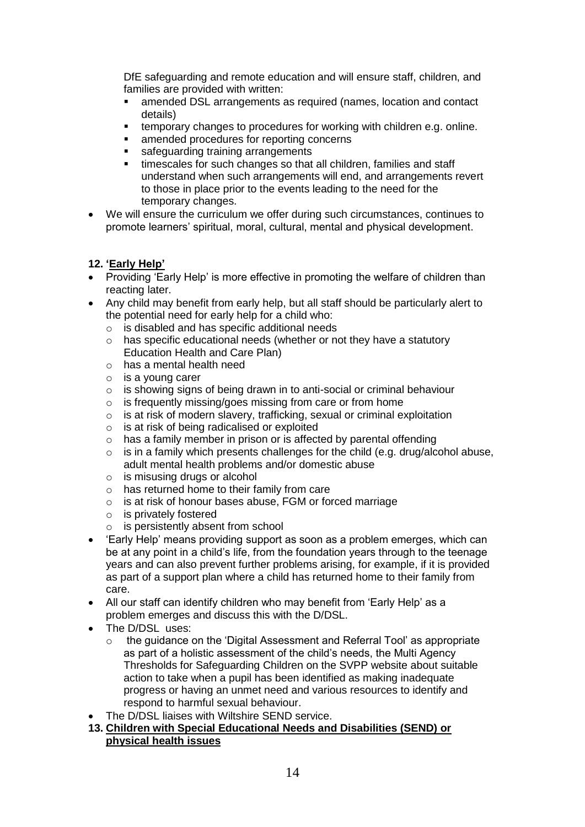DfE safeguarding and remote education and will ensure staff, children, and families are provided with written:

- amended DSL arrangements as required (names, location and contact details)
- temporary changes to procedures for working with children e.g. online.
- **EXECUTE:** amended procedures for reporting concerns
- safeguarding training arrangements
- timescales for such changes so that all children, families and staff understand when such arrangements will end, and arrangements revert to those in place prior to the events leading to the need for the temporary changes.
- We will ensure the curriculum we offer during such circumstances, continues to promote learners' spiritual, moral, cultural, mental and physical development.

#### **12. 'Early Help'**

- Providing 'Early Help' is more effective in promoting the welfare of children than reacting later.
- Any child may benefit from early help, but all staff should be particularly alert to the potential need for early help for a child who:
	- o is disabled and has specific additional needs
	- o has specific educational needs (whether or not they have a statutory Education Health and Care Plan)
	- o has a mental health need
	- o is a young carer
	- o is showing signs of being drawn in to anti-social or criminal behaviour
	- o is frequently missing/goes missing from care or from home
	- o is at risk of modern slavery, trafficking, sexual or criminal exploitation
	- $\circ$  is at risk of being radicalised or exploited
	- $\circ$  has a family member in prison or is affected by parental offending
	- $\circ$  is in a family which presents challenges for the child (e.g. drug/alcohol abuse, adult mental health problems and/or domestic abuse
	- $\circ$  is misusing drugs or alcohol
	- o has returned home to their family from care
	- o is at risk of honour bases abuse, FGM or forced marriage
	- o is privately fostered
	- o is persistently absent from school
- 'Early Help' means providing support as soon as a problem emerges, which can be at any point in a child's life, from the foundation years through to the teenage years and can also prevent further problems arising, for example, if it is provided as part of a support plan where a child has returned home to their family from care.
- All our staff can identify children who may benefit from 'Early Help' as a problem emerges and discuss this with the D/DSL.
- The D/DSL uses:
	- o the guidance on the 'Digital Assessment and Referral Tool' as appropriate as part of a holistic assessment of the child's needs, the Multi Agency Thresholds for Safeguarding Children on the SVPP website about suitable action to take when a pupil has been identified as making inadequate progress or having an unmet need and various resources to identify and respond to harmful sexual behaviour.
- The D/DSL liaises with Wiltshire SEND service.
- **13. Children with Special Educational Needs and Disabilities (SEND) or physical health issues**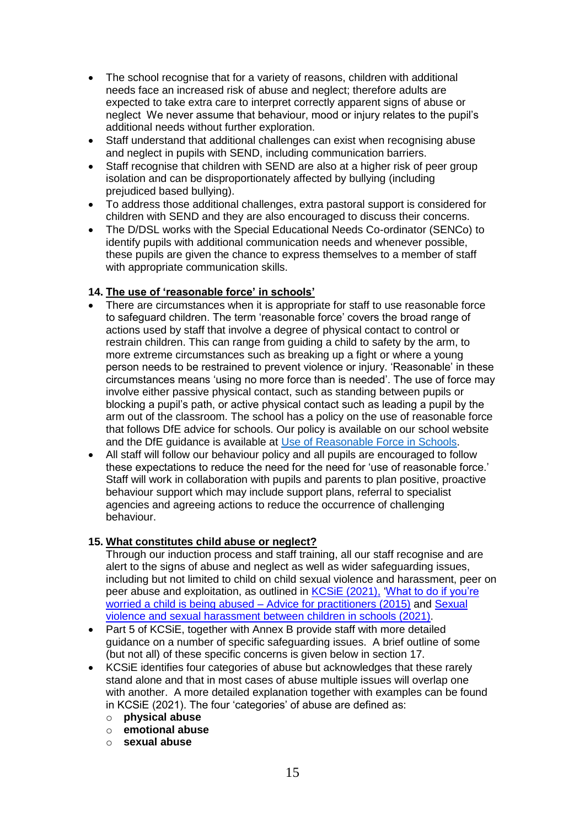- The school recognise that for a variety of reasons, children with additional needs face an increased risk of abuse and neglect; therefore adults are expected to take extra care to interpret correctly apparent signs of abuse or neglect We never assume that behaviour, mood or injury relates to the pupil's additional needs without further exploration.
- Staff understand that additional challenges can exist when recognising abuse and neglect in pupils with SEND, including communication barriers.
- Staff recognise that children with SEND are also at a higher risk of peer group isolation and can be disproportionately affected by bullying (including prejudiced based bullying).
- To address those additional challenges, extra pastoral support is considered for children with SEND and they are also encouraged to discuss their concerns.
- The D/DSL works with the Special Educational Needs Co-ordinator (SENCo) to identify pupils with additional communication needs and whenever possible, these pupils are given the chance to express themselves to a member of staff with appropriate communication skills.

#### **14. The use of 'reasonable force' in schools'**

- There are circumstances when it is appropriate for staff to use reasonable force to safeguard children. The term 'reasonable force' covers the broad range of actions used by staff that involve a degree of physical contact to control or restrain children. This can range from guiding a child to safety by the arm, to more extreme circumstances such as breaking up a fight or where a young person needs to be restrained to prevent violence or injury. 'Reasonable' in these circumstances means 'using no more force than is needed'. The use of force may involve either passive physical contact, such as standing between pupils or blocking a pupil's path, or active physical contact such as leading a pupil by the arm out of the classroom. The school has a policy on the use of reasonable force that follows DfE advice for schools. Our policy is available on our school website and the DfE guidance is available at [Use of Reasonable Force in Schools.](https://assets.publishing.service.gov.uk/government/uploads/system/uploads/attachment_data/file/444051/Use_of_reasonable_force_advice_Reviewed_July_2015.pdf)
- All staff will follow our behaviour policy and all pupils are encouraged to follow these expectations to reduce the need for the need for 'use of reasonable force.' Staff will work in collaboration with pupils and parents to plan positive, proactive behaviour support which may include support plans, referral to specialist agencies and agreeing actions to reduce the occurrence of challenging behaviour.

#### **15. What constitutes child abuse or neglect?**

Through our induction process and staff training, all our staff recognise and are alert to the signs of abuse and neglect as well as wider safeguarding issues, including but not limited to child on child sexual violence and harassment, peer on peer abuse and exploitation, as outlined in [KCSiE \(2021\),](https://assets.publishing.service.gov.uk/government/uploads/system/uploads/attachment_data/file/1007260/Keeping_children_safe_in_education_2021.pdf) ['What to do if you're](https://assets.publishing.service.gov.uk/government/uploads/system/uploads/attachment_data/file/419604/What_to_do_if_you_re_worried_a_child_is_being_abused.pdf)  [worried a child is being abused –](https://assets.publishing.service.gov.uk/government/uploads/system/uploads/attachment_data/file/419604/What_to_do_if_you_re_worried_a_child_is_being_abused.pdf) Advice for practitioners (2015) and [Sexual](https://assets.publishing.service.gov.uk/government/uploads/system/uploads/attachment_data/file/999239/SVSH_2021.pdf)  [violence and sexual harassment between children in schools \(2021\).](https://assets.publishing.service.gov.uk/government/uploads/system/uploads/attachment_data/file/999239/SVSH_2021.pdf)

- Part 5 of KCSiE, together with Annex B provide staff with more detailed guidance on a number of specific safeguarding issues. A brief outline of some (but not all) of these specific concerns is given below in section 17.
- KCSiE identifies four categories of abuse but acknowledges that these rarely stand alone and that in most cases of abuse multiple issues will overlap one with another. A more detailed explanation together with examples can be found in KCSiE (2021). The four 'categories' of abuse are defined as:
	- o **physical abuse**
	- o **emotional abuse**
	- o **sexual abuse**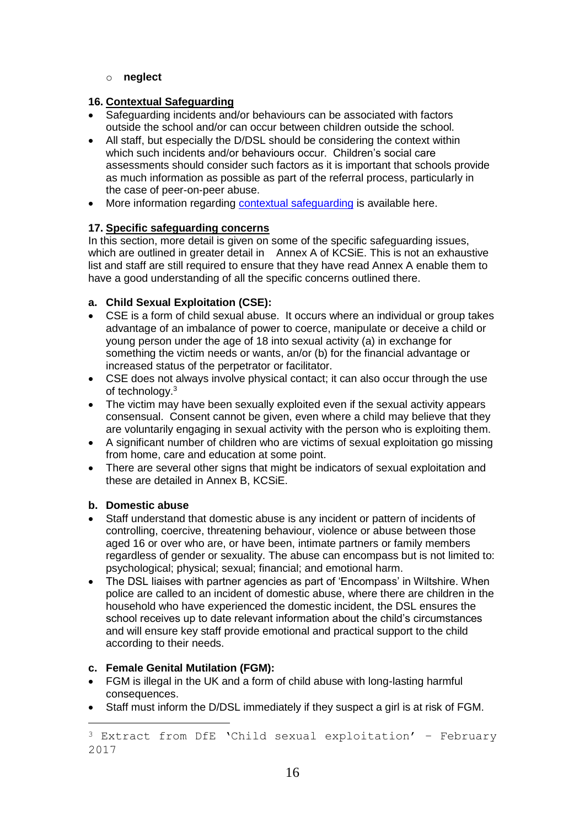#### o **neglect**

#### **16. Contextual Safeguarding**

- Safeguarding incidents and/or behaviours can be associated with factors outside the school and/or can occur between children outside the school.
- All staff, but especially the D/DSL should be considering the context within which such incidents and/or behaviours occur. Children's social care assessments should consider such factors as it is important that schools provide as much information as possible as part of the referral process, particularly in the case of peer-on-peer abuse.
- More information regarding [contextual safeguarding](https://contextualsafeguarding.org.uk/about/what-is-contextual-safeguarding) is available here.

#### **17. Specific safeguarding concerns**

In this section, more detail is given on some of the specific safeguarding issues, which are outlined in greater detail in Annex A of KCSiE. This is not an exhaustive list and staff are still required to ensure that they have read Annex A enable them to have a good understanding of all the specific concerns outlined there.

#### **a. Child Sexual Exploitation (CSE):**

- CSE is a form of child sexual abuse. It occurs where an individual or group takes advantage of an imbalance of power to coerce, manipulate or deceive a child or young person under the age of 18 into sexual activity (a) in exchange for something the victim needs or wants, an/or (b) for the financial advantage or increased status of the perpetrator or facilitator.
- CSE does not always involve physical contact; it can also occur through the use of technology.<sup>3</sup>
- The victim may have been sexually exploited even if the sexual activity appears consensual. Consent cannot be given, even where a child may believe that they are voluntarily engaging in sexual activity with the person who is exploiting them.
- A significant number of children who are victims of sexual exploitation go missing from home, care and education at some point.
- There are several other signs that might be indicators of sexual exploitation and these are detailed in Annex B, KCSiE.

#### **b. Domestic abuse**

 $\overline{a}$ 

- Staff understand that domestic abuse is any incident or pattern of incidents of controlling, coercive, threatening behaviour, violence or abuse between those aged 16 or over who are, or have been, intimate partners or family members regardless of gender or sexuality. The abuse can encompass but is not limited to: psychological; physical; sexual; financial; and emotional harm.
- The DSL liaises with partner agencies as part of 'Encompass' in Wiltshire. When police are called to an incident of domestic abuse, where there are children in the household who have experienced the domestic incident, the DSL ensures the school receives up to date relevant information about the child's circumstances and will ensure key staff provide emotional and practical support to the child according to their needs.

#### **c. Female Genital Mutilation (FGM):**

- FGM is illegal in the UK and a form of child abuse with long-lasting harmful consequences.
- Staff must inform the D/DSL immediately if they suspect a girl is at risk of FGM.

<sup>3</sup> Extract from DfE 'Child sexual exploitation' – February 2017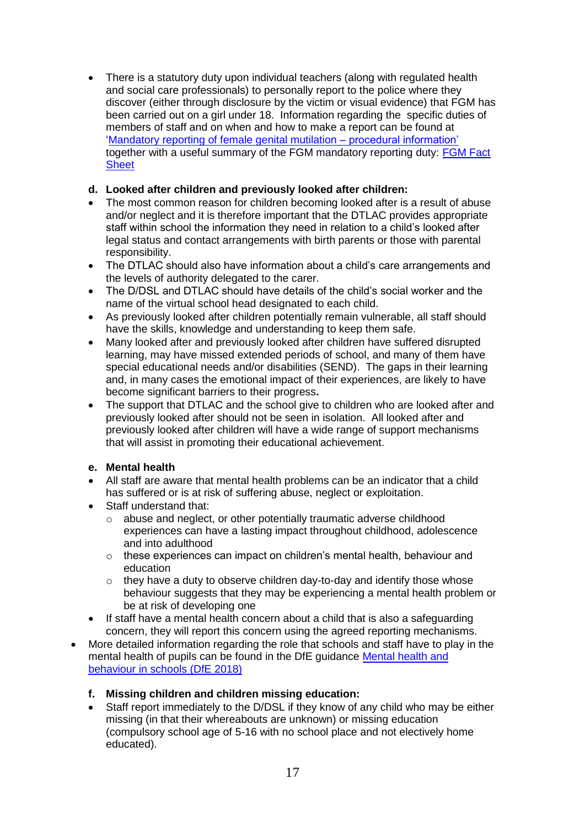• There is a statutory duty upon individual teachers (along with regulated health and social care professionals) to personally report to the police where they discover (either through disclosure by the victim or visual evidence) that FGM has been carried out on a girl under 18. Information regarding the specific duties of members of staff and on when and how to make a report can be found at 'Mandatory reporting of [female genital mutilation –](https://www.gov.uk/government/uploads/system/uploads/attachment_data/file/573782/FGM_Mandatory_Reporting_-_procedural_information_nov16_FINAL.pdf) procedural information' together with a useful summary of the FGM mandatory reporting duty: [FGM Fact](https://www.gov.uk/government/uploads/system/uploads/attachment_data/file/496415/6_1639_HO_SP_FGM_mandatory_reporting_Fact_sheet_Web.pdf)  **[Sheet](https://www.gov.uk/government/uploads/system/uploads/attachment_data/file/496415/6_1639_HO_SP_FGM_mandatory_reporting_Fact_sheet_Web.pdf)** 

#### **d. Looked after children and previously looked after children:**

- The most common reason for children becoming looked after is a result of abuse and/or neglect and it is therefore important that the DTLAC provides appropriate staff within school the information they need in relation to a child's looked after legal status and contact arrangements with birth parents or those with parental responsibility.
- The DTLAC should also have information about a child's care arrangements and the levels of authority delegated to the carer.
- The D/DSL and DTLAC should have details of the child's social worker and the name of the virtual school head designated to each child.
- As previously looked after children potentially remain vulnerable, all staff should have the skills, knowledge and understanding to keep them safe.
- Many looked after and previously looked after children have suffered disrupted learning, may have missed extended periods of school, and many of them have special educational needs and/or disabilities (SEND). The gaps in their learning and, in many cases the emotional impact of their experiences, are likely to have become significant barriers to their progress**.**
- The support that DTLAC and the school give to children who are looked after and previously looked after should not be seen in isolation. All looked after and previously looked after children will have a wide range of support mechanisms that will assist in promoting their educational achievement.

#### **e. Mental health**

- All staff are aware that mental health problems can be an indicator that a child has suffered or is at risk of suffering abuse, neglect or exploitation.
- Staff understand that:
	- o abuse and neglect, or other potentially traumatic adverse childhood experiences can have a lasting impact throughout childhood, adolescence and into adulthood
	- o these experiences can impact on children's mental health, behaviour and education
	- $\circ$  they have a duty to observe children day-to-day and identify those whose behaviour suggests that they may be experiencing a mental health problem or be at risk of developing one
- If staff have a mental health concern about a child that is also a safeguarding concern, they will report this concern using the agreed reporting mechanisms.
- More detailed information regarding the role that schools and staff have to play in the mental health of pupils can be found in the DfE guidance [Mental health and](https://assets.publishing.service.gov.uk/government/uploads/system/uploads/attachment_data/file/755135/Mental_health_and_behaviour_in_schools__.pdf)  [behaviour in schools \(DfE 2018\)](https://assets.publishing.service.gov.uk/government/uploads/system/uploads/attachment_data/file/755135/Mental_health_and_behaviour_in_schools__.pdf)

#### **f. Missing children and children missing education:**

 Staff report immediately to the D/DSL if they know of any child who may be either missing (in that their whereabouts are unknown) or missing education (compulsory school age of 5-16 with no school place and not electively home educated).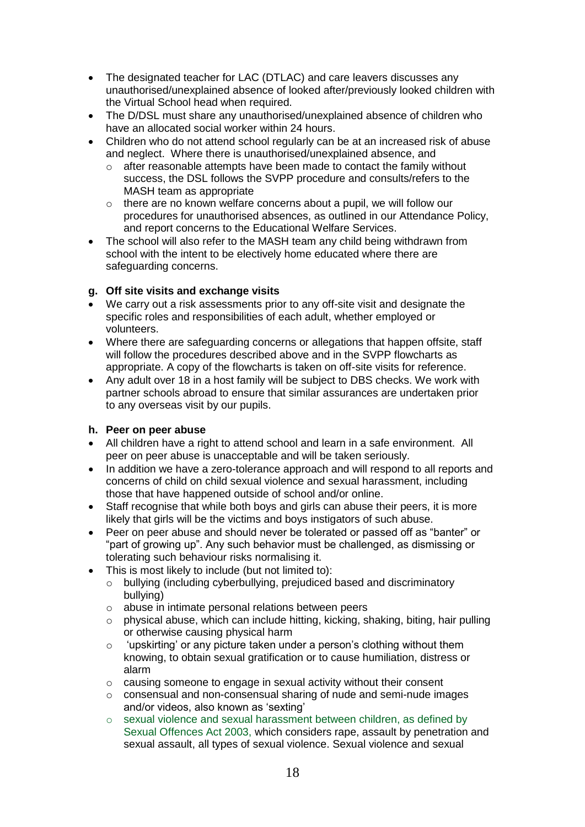- The designated teacher for LAC (DTLAC) and care leavers discusses any unauthorised/unexplained absence of looked after/previously looked children with the Virtual School head when required.
- The D/DSL must share any unauthorised/unexplained absence of children who have an allocated social worker within 24 hours.
- Children who do not attend school regularly can be at an increased risk of abuse and neglect. Where there is unauthorised/unexplained absence, and
	- o after reasonable attempts have been made to contact the family without success, the DSL follows the SVPP procedure and consults/refers to the MASH team as appropriate
	- o there are no known welfare concerns about a pupil, we will follow our procedures for unauthorised absences, as outlined in our Attendance Policy, and report concerns to the Educational Welfare Services.
- The school will also refer to the MASH team any child being withdrawn from school with the intent to be electively home educated where there are safeguarding concerns.

#### **g. Off site visits and exchange visits**

- We carry out a risk assessments prior to any off-site visit and designate the specific roles and responsibilities of each adult, whether employed or volunteers.
- Where there are safeguarding concerns or allegations that happen offsite, staff will follow the procedures described above and in the SVPP flowcharts as appropriate. A copy of the flowcharts is taken on off-site visits for reference.
- Any adult over 18 in a host family will be subject to DBS checks. We work with partner schools abroad to ensure that similar assurances are undertaken prior to any overseas visit by our pupils.

#### **h. Peer on peer abuse**

- All children have a right to attend school and learn in a safe environment. All peer on peer abuse is unacceptable and will be taken seriously.
- In addition we have a zero-tolerance approach and will respond to all reports and concerns of child on child sexual violence and sexual harassment, including those that have happened outside of school and/or online.
- Staff recognise that while both boys and girls can abuse their peers, it is more likely that girls will be the victims and boys instigators of such abuse.
- Peer on peer abuse and should never be tolerated or passed off as "banter" or "part of growing up". Any such behavior must be challenged, as dismissing or tolerating such behaviour risks normalising it.
- This is most likely to include (but not limited to):
	- o bullying (including cyberbullying, prejudiced based and discriminatory bullying)
	- o abuse in intimate personal relations between peers
	- $\circ$  physical abuse, which can include hitting, kicking, shaking, biting, hair pulling or otherwise causing physical harm
	- o 'upskirting' or any picture taken under a person's clothing without them knowing, to obtain sexual gratification or to cause humiliation, distress or alarm
	- o causing someone to engage in sexual activity without their consent
	- o consensual and non-consensual sharing of nude and semi-nude images and/or videos, also known as 'sexting'
	- o sexual violence and sexual harassment between children, as defined by Sexual Offences Act 2003, which considers rape, assault by penetration and sexual assault, all types of sexual violence. Sexual violence and sexual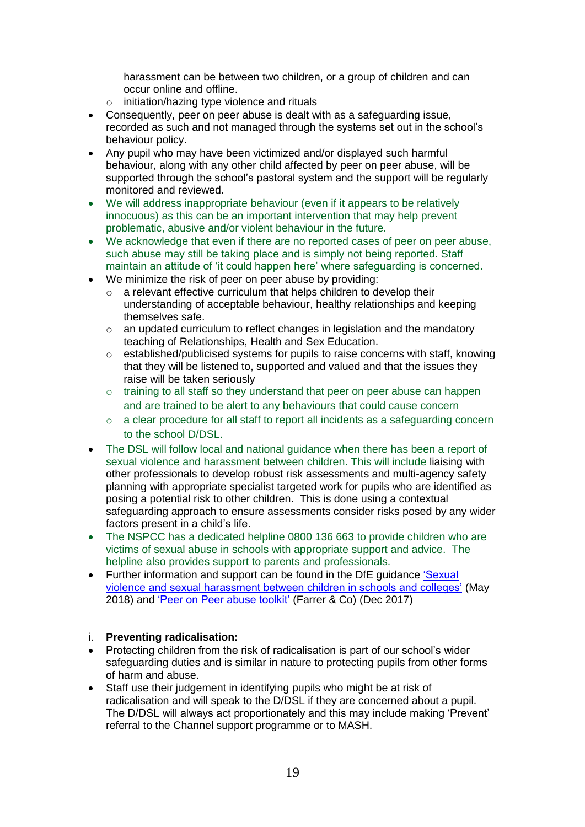harassment can be between two children, or a group of children and can occur online and offline.

- o initiation/hazing type violence and rituals
- Consequently, peer on peer abuse is dealt with as a safeguarding issue, recorded as such and not managed through the systems set out in the school's behaviour policy.
- Any pupil who may have been victimized and/or displayed such harmful behaviour, along with any other child affected by peer on peer abuse, will be supported through the school's pastoral system and the support will be regularly monitored and reviewed.
- We will address inappropriate behaviour (even if it appears to be relatively innocuous) as this can be an important intervention that may help prevent problematic, abusive and/or violent behaviour in the future.
- We acknowledge that even if there are no reported cases of peer on peer abuse, such abuse may still be taking place and is simply not being reported. Staff maintain an attitude of 'it could happen here' where safeguarding is concerned.
- We minimize the risk of peer on peer abuse by providing:
	- $\circ$  a relevant effective curriculum that helps children to develop their understanding of acceptable behaviour, healthy relationships and keeping themselves safe.
	- o an updated curriculum to reflect changes in legislation and the mandatory teaching of Relationships, Health and Sex Education.
	- o established/publicised systems for pupils to raise concerns with staff, knowing that they will be listened to, supported and valued and that the issues they raise will be taken seriously
	- $\circ$  training to all staff so they understand that peer on peer abuse can happen and are trained to be alert to any behaviours that could cause concern
	- o a clear procedure for all staff to report all incidents as a safeguarding concern to the school D/DSL.
- The DSL will follow local and national guidance when there has been a report of sexual violence and harassment between children. This will include liaising with other professionals to develop robust risk assessments and multi-agency safety planning with appropriate specialist targeted work for pupils who are identified as posing a potential risk to other children. This is done using a contextual safeguarding approach to ensure assessments consider risks posed by any wider factors present in a child's life.
- The NSPCC has a dedicated helpline 0800 136 663 to provide children who are victims of sexual abuse in schools with appropriate support and advice. The helpline also provides support to parents and professionals.
- Further information and support can be found in the DfE guidance 'Sexual violence [and sexual harassment between children in schools and colleges'](https://assets.publishing.service.gov.uk/government/uploads/system/uploads/attachment_data/file/719902/Sexual_violence_and_sexual_harassment_between_children_in_schools_and_colleges.pdf) (May 2018) and ['Peer on Peer abuse toolkit'](https://www.farrer.co.uk/globalassets/news-articles/downloads/peer-on-peer-abuse-toolkit-14.pdf) (Farrer & Co) (Dec 2017)

#### i. **Preventing radicalisation:**

- Protecting children from the risk of radicalisation is part of our school's wider safeguarding duties and is similar in nature to protecting pupils from other forms of harm and abuse.
- Staff use their judgement in identifying pupils who might be at risk of radicalisation and will speak to the D/DSL if they are concerned about a pupil. The D/DSL will always act proportionately and this may include making 'Prevent' referral to the Channel support programme or to MASH.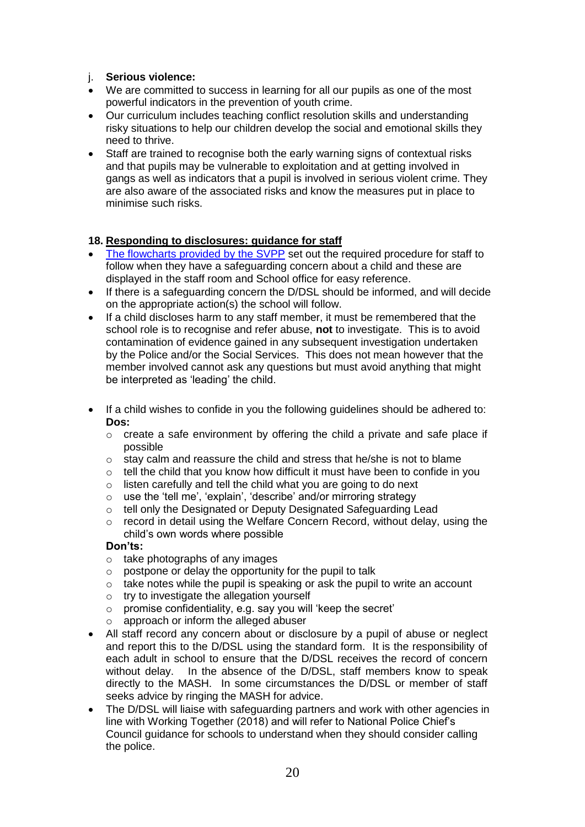#### j. **Serious violence:**

- We are committed to success in learning for all our pupils as one of the most powerful indicators in the prevention of youth crime.
- Our curriculum includes teaching conflict resolution skills and understanding risky situations to help our children develop the social and emotional skills they need to thrive.
- Staff are trained to recognise both the early warning signs of contextual risks and that pupils may be vulnerable to exploitation and at getting involved in gangs as well as indicators that a pupil is involved in serious violent crime. They are also aware of the associated risks and know the measures put in place to minimise such risks.

#### **18. Responding to disclosures: guidance for staff**

- [The flowcharts provided by the SVPP](https://www.wiltshirescb.org.uk/professionals/local-policies-and-guidance/) set out the required procedure for staff to follow when they have a safeguarding concern about a child and these are displayed in the staff room and School office for easy reference.
- If there is a safeguarding concern the D/DSL should be informed, and will decide on the appropriate action(s) the school will follow.
- If a child discloses harm to any staff member, it must be remembered that the school role is to recognise and refer abuse, **not** to investigate. This is to avoid contamination of evidence gained in any subsequent investigation undertaken by the Police and/or the Social Services. This does not mean however that the member involved cannot ask any questions but must avoid anything that might be interpreted as 'leading' the child.
- If a child wishes to confide in you the following guidelines should be adhered to: **Dos:**
	- o create a safe environment by offering the child a private and safe place if possible
	- o stay calm and reassure the child and stress that he/she is not to blame
	- o tell the child that you know how difficult it must have been to confide in you
	- o listen carefully and tell the child what you are going to do next
	- o use the 'tell me', 'explain', 'describe' and/or mirroring strategy
	- o tell only the Designated or Deputy Designated Safeguarding Lead
	- $\circ$  record in detail using the Welfare Concern Record, without delay, using the child's own words where possible

#### **Don'ts:**

- $\circ$  take photographs of any images
- $\circ$  postpone or delay the opportunity for the pupil to talk
- o take notes while the pupil is speaking or ask the pupil to write an account
- o try to investigate the allegation yourself
- o promise confidentiality, e.g. say you will 'keep the secret'
- o approach or inform the alleged abuser
- All staff record any concern about or disclosure by a pupil of abuse or neglect and report this to the D/DSL using the standard form. It is the responsibility of each adult in school to ensure that the D/DSL receives the record of concern without delay. In the absence of the D/DSL, staff members know to speak directly to the MASH. In some circumstances the D/DSL or member of staff seeks advice by ringing the MASH for advice.
- The D/DSL will liaise with safeguarding partners and work with other agencies in line with Working Together (2018) and will refer to National Police Chief's Council guidance for schools to understand when they should consider calling the police.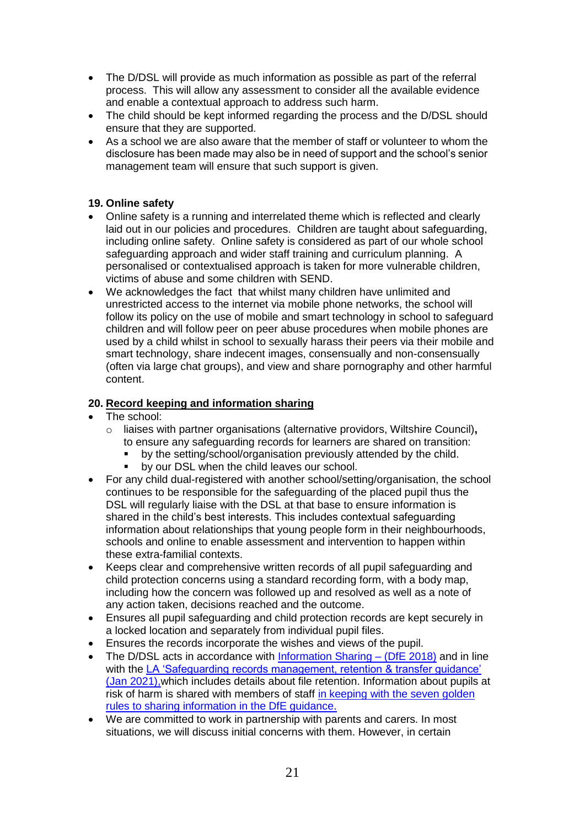- The D/DSL will provide as much information as possible as part of the referral process. This will allow any assessment to consider all the available evidence and enable a contextual approach to address such harm.
- The child should be kept informed regarding the process and the D/DSL should ensure that they are supported.
- As a school we are also aware that the member of staff or volunteer to whom the disclosure has been made may also be in need of support and the school's senior management team will ensure that such support is given.

#### **19. Online safety**

- Online safety is a running and interrelated theme which is reflected and clearly laid out in our policies and procedures. Children are taught about safeguarding, including online safety. Online safety is considered as part of our whole school safeguarding approach and wider staff training and curriculum planning. A personalised or contextualised approach is taken for more vulnerable children, victims of abuse and some children with SEND.
- We acknowledges the fact that whilst many children have unlimited and unrestricted access to the internet via mobile phone networks, the school will follow its policy on the use of mobile and smart technology in school to safeguard children and will follow peer on peer abuse procedures when mobile phones are used by a child whilst in school to sexually harass their peers via their mobile and smart technology, share indecent images, consensually and non-consensually (often via large chat groups), and view and share pornography and other harmful content.

#### **20. Record keeping and information sharing**

- The school:
	- o liaises with partner organisations (alternative providors, Wiltshire Council)**,**  to ensure any safeguarding records for learners are shared on transition:
		- by the setting/school/organisation previously attended by the child.
		- **by our DSL when the child leaves our school.**
- For any child dual-registered with another school/setting/organisation, the school continues to be responsible for the safeguarding of the placed pupil thus the DSL will regularly liaise with the DSL at that base to ensure information is shared in the child's best interests. This includes contextual safeguarding information about relationships that young people form in their neighbourhoods, schools and online to enable assessment and intervention to happen within these extra-familial contexts.
- Keeps clear and comprehensive written records of all pupil safeguarding and child protection concerns using a standard recording form, with a body map, including how the concern was followed up and resolved as well as a note of any action taken, decisions reached and the outcome.
- Ensures all pupil safeguarding and child protection records are kept securely in a locked location and separately from individual pupil files.
- Ensures the records incorporate the wishes and views of the pupil.
- The D/DSL acts in accordance with  $Information Sharing (DfE 2018)$  and in line with the LA 'Safeguarding records management, retention & transfer guidance' [\(Jan 2021\),w](https://rightchoice.wiltshire.gov.uk/Page/9227)hich includes details about file retention. Information about pupils at risk of harm is shared with members of staff [in keeping with the seven golden](https://assets.publishing.service.gov.uk/government/uploads/system/uploads/attachment_data/file/721581/Information_sharing_advice_practitioners_safeguarding_services.pdf)  [rules to sharing information in the DfE guidance.](https://assets.publishing.service.gov.uk/government/uploads/system/uploads/attachment_data/file/721581/Information_sharing_advice_practitioners_safeguarding_services.pdf)
- We are committed to work in partnership with parents and carers. In most situations, we will discuss initial concerns with them. However, in certain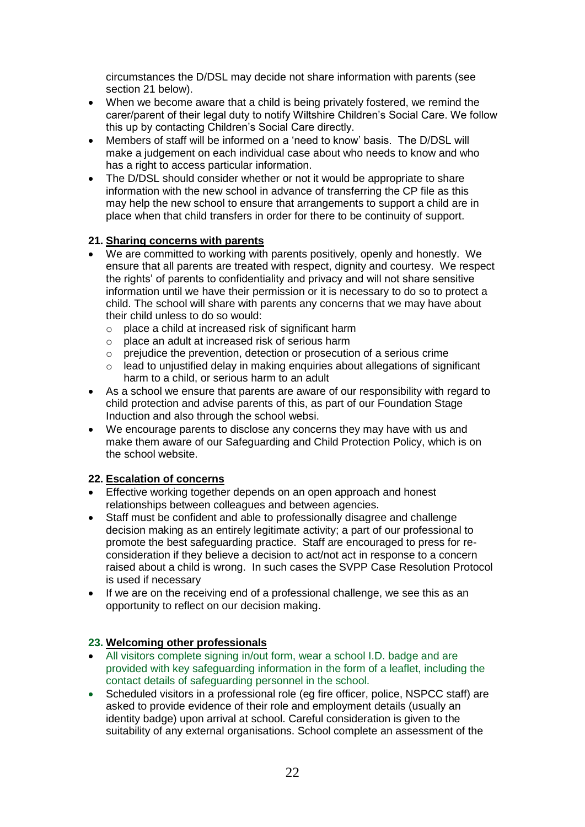circumstances the D/DSL may decide not share information with parents (see section 21 below).

- When we become aware that a child is being privately fostered, we remind the carer/parent of their legal duty to notify Wiltshire Children's Social Care. We follow this up by contacting Children's Social Care directly.
- Members of staff will be informed on a 'need to know' basis. The D/DSL will make a judgement on each individual case about who needs to know and who has a right to access particular information.
- The D/DSL should consider whether or not it would be appropriate to share information with the new school in advance of transferring the CP file as this may help the new school to ensure that arrangements to support a child are in place when that child transfers in order for there to be continuity of support.

#### **21. Sharing concerns with parents**

- We are committed to working with parents positively, openly and honestly. We ensure that all parents are treated with respect, dignity and courtesy. We respect the rights' of parents to confidentiality and privacy and will not share sensitive information until we have their permission or it is necessary to do so to protect a child. The school will share with parents any concerns that we may have about their child unless to do so would:
	- o place a child at increased risk of significant harm
	- o place an adult at increased risk of serious harm
	- o prejudice the prevention, detection or prosecution of a serious crime
	- $\circ$  lead to unjustified delay in making enquiries about allegations of significant harm to a child, or serious harm to an adult
- As a school we ensure that parents are aware of our responsibility with regard to child protection and advise parents of this, as part of our Foundation Stage Induction and also through the school websi.
- We encourage parents to disclose any concerns they may have with us and make them aware of our Safeguarding and Child Protection Policy, which is on the school website.

#### **22. Escalation of concerns**

- Effective working together depends on an open approach and honest relationships between colleagues and between agencies.
- Staff must be confident and able to professionally disagree and challenge decision making as an entirely legitimate activity; a part of our professional to promote the best safeguarding practice. Staff are encouraged to press for reconsideration if they believe a decision to act/not act in response to a concern raised about a child is wrong. In such cases the SVPP Case Resolution Protocol is used if necessary
- If we are on the receiving end of a professional challenge, we see this as an opportunity to reflect on our decision making.

#### **23. Welcoming other professionals**

- All visitors complete signing in/out form, wear a school I.D. badge and are provided with key safeguarding information in the form of a leaflet, including the contact details of safeguarding personnel in the school.
- Scheduled visitors in a professional role (eg fire officer, police, NSPCC staff) are asked to provide evidence of their role and employment details (usually an identity badge) upon arrival at school. Careful consideration is given to the suitability of any external organisations. School complete an assessment of the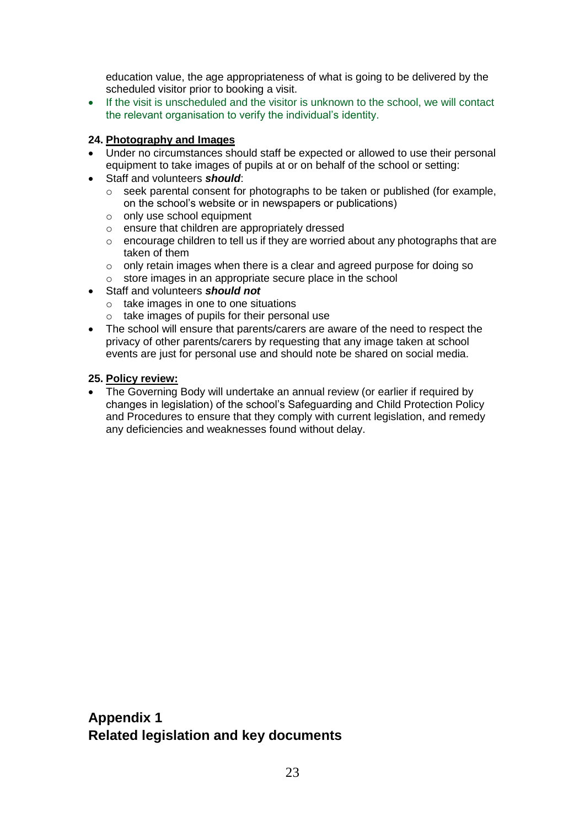education value, the age appropriateness of what is going to be delivered by the scheduled visitor prior to booking a visit.

• If the visit is unscheduled and the visitor is unknown to the school, we will contact the relevant organisation to verify the individual's identity.

#### **24. Photography and Images**

- Under no circumstances should staff be expected or allowed to use their personal equipment to take images of pupils at or on behalf of the school or setting:
- Staff and volunteers *should*:
	- o seek parental consent for photographs to be taken or published (for example, on the school's website or in newspapers or publications)
	- o only use school equipment
	- o ensure that children are appropriately dressed
	- o encourage children to tell us if they are worried about any photographs that are taken of them
	- o only retain images when there is a clear and agreed purpose for doing so
	- o store images in an appropriate secure place in the school
- Staff and volunteers *should not*
	- o take images in one to one situations
	- o take images of pupils for their personal use
- The school will ensure that parents/carers are aware of the need to respect the privacy of other parents/carers by requesting that any image taken at school events are just for personal use and should note be shared on social media.

#### **25. Policy review:**

• The Governing Body will undertake an annual review (or earlier if required by changes in legislation) of the school's Safeguarding and Child Protection Policy and Procedures to ensure that they comply with current legislation, and remedy any deficiencies and weaknesses found without delay.

# **Appendix 1 Related legislation and key documents**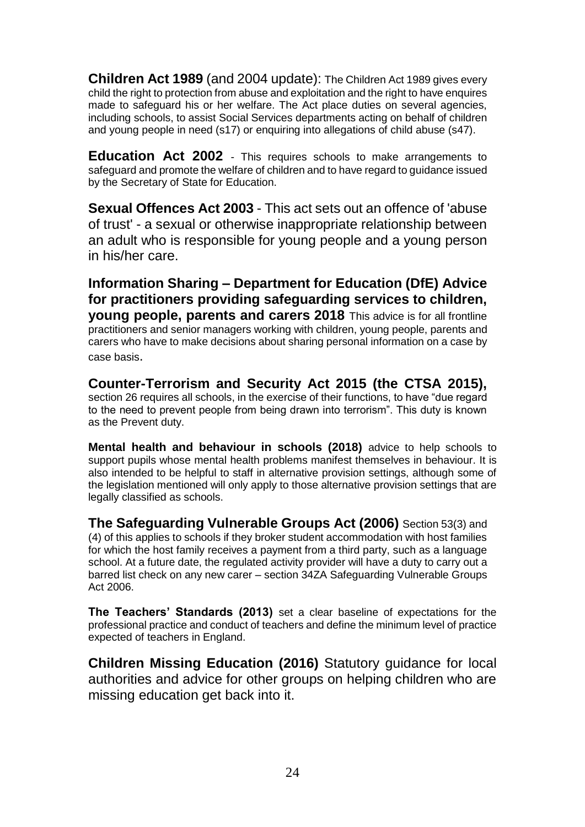**Children Act 1989** (and 2004 update): The Children Act 1989 gives every child the right to protection from abuse and exploitation and the right to have enquires made to safeguard his or her welfare. The Act place duties on several agencies, including schools, to assist Social Services departments acting on behalf of children and young people in need (s17) or enquiring into allegations of child abuse (s47).

**Education Act 2002** - This requires schools to make arrangements to safeguard and promote the welfare of children and to have regard to guidance issued by the Secretary of State for Education.

**Sexual Offences Act 2003** - This act sets out an offence of 'abuse of trust' - a sexual or otherwise inappropriate relationship between an adult who is responsible for young people and a young person in his/her care.

**Information Sharing – Department for Education (DfE) Advice for practitioners providing safeguarding services to children, young people, parents and carers 2018** This advice is for all frontline practitioners and senior managers working with children, young people, parents and carers who have to make decisions about sharing personal information on a case by case basis.

**Counter-Terrorism and Security Act 2015 (the CTSA 2015),** section 26 requires all schools, in the exercise of their functions, to have "due regard to the need to prevent people from being drawn into terrorism". This duty is known as the Prevent duty.

**Mental health and behaviour in schools (2018)** advice to help schools to support pupils whose mental health problems manifest themselves in behaviour. It is also intended to be helpful to staff in alternative provision settings, although some of the legislation mentioned will only apply to those alternative provision settings that are legally classified as schools.

**The Safeguarding Vulnerable Groups Act (2006)** Section 53(3) and (4) of this applies to schools if they broker student accommodation with host families for which the host family receives a payment from a third party, such as a language school. At a future date, the regulated activity provider will have a duty to carry out a barred list check on any new carer – section 34ZA Safeguarding Vulnerable Groups Act 2006.

**The Teachers' Standards (2013)** set a clear baseline of expectations for the professional practice and conduct of teachers and define the minimum level of practice expected of teachers in England.

**Children Missing Education (2016)** Statutory guidance for local authorities and advice for other groups on helping children who are missing education get back into it.